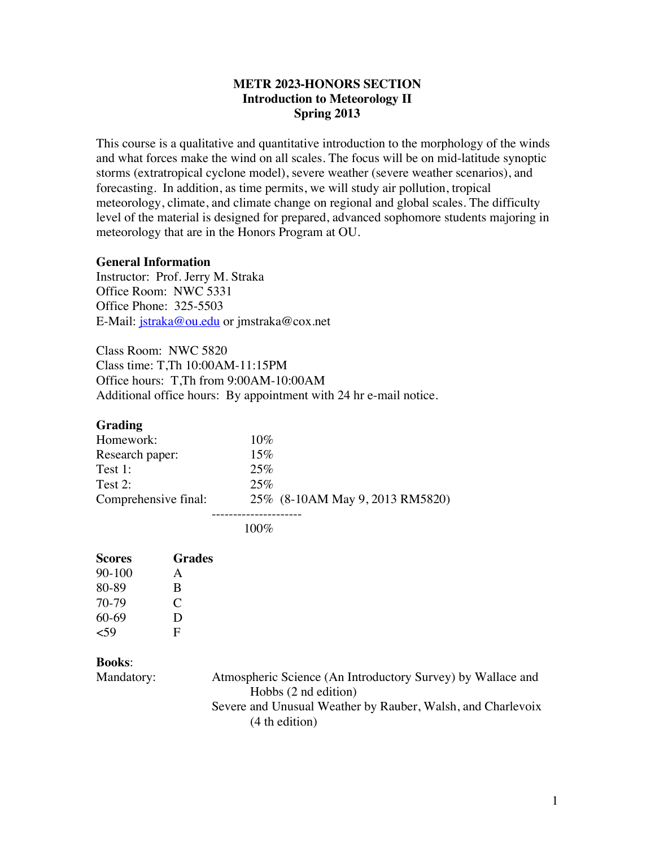## **METR 2023-HONORS SECTION Introduction to Meteorology II Spring 2013**

This course is a qualitative and quantitative introduction to the morphology of the winds and what forces make the wind on all scales. The focus will be on mid-latitude synoptic storms (extratropical cyclone model), severe weather (severe weather scenarios), and forecasting. In addition, as time permits, we will study air pollution, tropical meteorology, climate, and climate change on regional and global scales. The difficulty level of the material is designed for prepared, advanced sophomore students majoring in meteorology that are in the Honors Program at OU.

#### **General Information**

Instructor: Prof. Jerry M. Straka Office Room: NWC 5331 Office Phone: 325-5503 E-Mail: *jstraka@ou.edu* or jmstraka@cox.net

Class Room: NWC 5820 Class time: T,Th 10:00AM-11:15PM Office hours: T,Th from 9:00AM-10:00AM Additional office hours: By appointment with 24 hr e-mail notice.

#### **Grading**

| Homework:            | 10%                             |  |
|----------------------|---------------------------------|--|
| Research paper:      | 15%                             |  |
| Test $1$ :           | 25%                             |  |
| Test $2$ :           | 25%                             |  |
| Comprehensive final: | 25% (8-10AM May 9, 2013 RM5820) |  |
|                      |                                 |  |

100%

| <b>Scores</b> | Grades |
|---------------|--------|
| $90 - 100$    | A      |
| 80-89         | B      |
| 70-79         | C      |
| 60-69         | Ð      |
| 59ء           | F      |

#### **Books**:

Mandatory: Atmospheric Science (An Introductory Survey) by Wallace and Hobbs (2 nd edition) Severe and Unusual Weather by Rauber, Walsh, and Charlevoix (4 th edition)